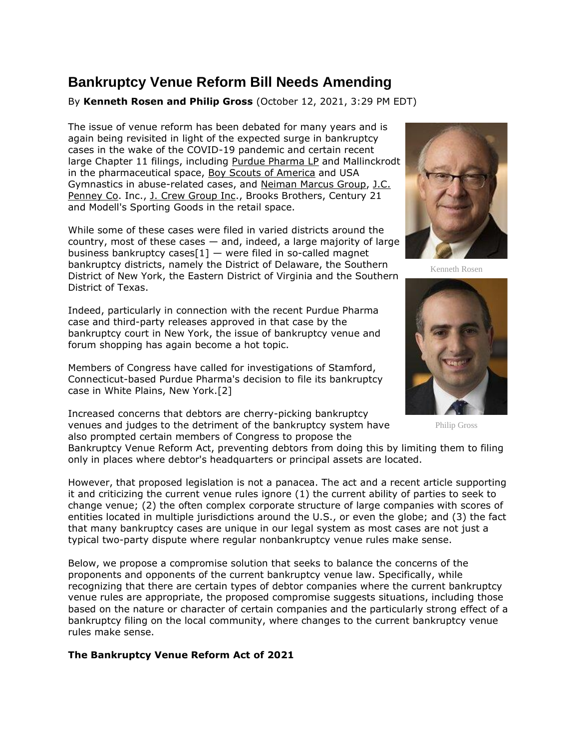## **Bankruptcy Venue Reform Bill Needs Amending**

By **Kenneth Rosen and Philip Gross** (October 12, 2021, 3:29 PM EDT)

The issue of venue reform has been debated for many years and is again being revisited in light of the expected surge in bankruptcy cases in the wake of the COVID-19 pandemic and certain recent large Chapter 11 filings, including [Purdue Pharma LP](https://www.law360.com/companies/purdue-pharma-lp) and Mallinckrodt in the pharmaceutical space, [Boy Scouts of America](https://www.law360.com/companies/boy-scouts-of-america) and USA Gymnastics in abuse-related cases, and [Neiman Marcus Group,](https://www.law360.com/companies/neiman-marcus-group) [J.C.](https://www.law360.com/companies/j-c-penney-co-inc)  [Penney Co.](https://www.law360.com/companies/j-c-penney-co-inc) Inc., [J. Crew Group Inc.](https://www.law360.com/companies/j-crew-group-inc), Brooks Brothers, Century 21 and Modell's Sporting Goods in the retail space.

While some of these cases were filed in varied districts around the country, most of these cases — and, indeed, a large majority of large business bankruptcy cases $[1]$  — were filed in so-called magnet bankruptcy districts, namely the District of Delaware, the Southern District of New York, the Eastern District of Virginia and the Southern District of Texas.

Indeed, particularly in connection with the recent Purdue Pharma case and third-party releases approved in that case by the bankruptcy court in New York, the issue of bankruptcy venue and forum shopping has again become a hot topic.

Members of Congress have called for investigations of Stamford, Connecticut-based Purdue Pharma's decision to file its bankruptcy case in White Plains, New York.[2]

Increased concerns that debtors are cherry-picking bankruptcy venues and judges to the detriment of the bankruptcy system have also prompted certain members of Congress to propose the



Kenneth Rosen



Philip Gross

Bankruptcy Venue Reform Act, preventing debtors from doing this by limiting them to filing only in places where debtor's headquarters or principal assets are located.

However, that proposed legislation is not a panacea. The act and a recent article supporting it and criticizing the current venue rules ignore (1) the current ability of parties to seek to change venue; (2) the often complex corporate structure of large companies with scores of entities located in multiple jurisdictions around the U.S., or even the globe; and (3) the fact that many bankruptcy cases are unique in our legal system as most cases are not just a typical two-party dispute where regular nonbankruptcy venue rules make sense.

Below, we propose a compromise solution that seeks to balance the concerns of the proponents and opponents of the current bankruptcy venue law. Specifically, while recognizing that there are certain types of debtor companies where the current bankruptcy venue rules are appropriate, the proposed compromise suggests situations, including those based on the nature or character of certain companies and the particularly strong effect of a bankruptcy filing on the local community, where changes to the current bankruptcy venue rules make sense.

**The Bankruptcy Venue Reform Act of 2021**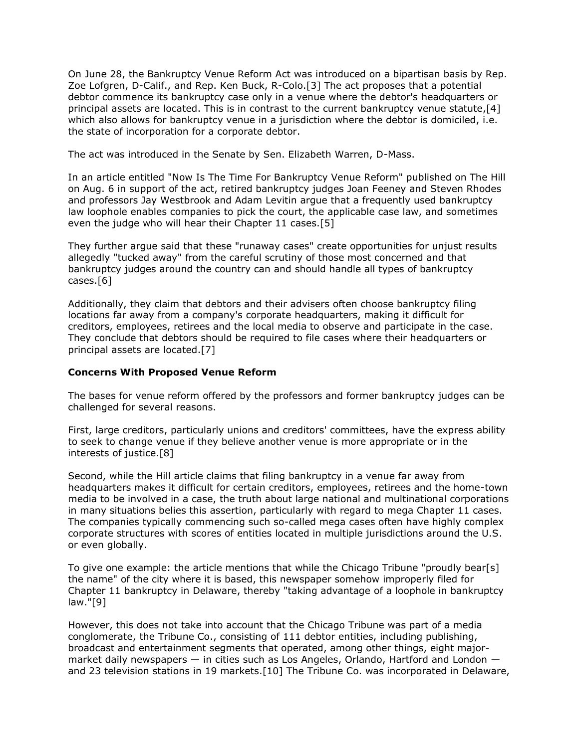On June 28, the Bankruptcy Venue Reform Act was introduced on a bipartisan basis by Rep. Zoe Lofgren, D-Calif., and Rep. Ken Buck, R-Colo.[3] The act proposes that a potential debtor commence its bankruptcy case only in a venue where the debtor's headquarters or principal assets are located. This is in contrast to the current bankruptcy venue statute,[4] which also allows for bankruptcy venue in a jurisdiction where the debtor is domiciled, i.e. the state of incorporation for a corporate debtor.

The act was introduced in the Senate by Sen. Elizabeth Warren, D-Mass.

In an article entitled "Now Is The Time For Bankruptcy Venue Reform" published on The Hill on Aug. 6 in support of the act, retired bankruptcy judges Joan Feeney and Steven Rhodes and professors Jay Westbrook and Adam Levitin argue that a frequently used bankruptcy law loophole enables companies to pick the court, the applicable case law, and sometimes even the judge who will hear their Chapter 11 cases.[5]

They further argue said that these "runaway cases" create opportunities for unjust results allegedly "tucked away" from the careful scrutiny of those most concerned and that bankruptcy judges around the country can and should handle all types of bankruptcy cases.[6]

Additionally, they claim that debtors and their advisers often choose bankruptcy filing locations far away from a company's corporate headquarters, making it difficult for creditors, employees, retirees and the local media to observe and participate in the case. They conclude that debtors should be required to file cases where their headquarters or principal assets are located.[7]

## **Concerns With Proposed Venue Reform**

The bases for venue reform offered by the professors and former bankruptcy judges can be challenged for several reasons.

First, large creditors, particularly unions and creditors' committees, have the express ability to seek to change venue if they believe another venue is more appropriate or in the interests of justice.[8]

Second, while the Hill article claims that filing bankruptcy in a venue far away from headquarters makes it difficult for certain creditors, employees, retirees and the home-town media to be involved in a case, the truth about large national and multinational corporations in many situations belies this assertion, particularly with regard to mega Chapter 11 cases. The companies typically commencing such so-called mega cases often have highly complex corporate structures with scores of entities located in multiple jurisdictions around the U.S. or even globally.

To give one example: the article mentions that while the Chicago Tribune "proudly bear[s] the name" of the city where it is based, this newspaper somehow improperly filed for Chapter 11 bankruptcy in Delaware, thereby "taking advantage of a loophole in bankruptcy law."[9]

However, this does not take into account that the Chicago Tribune was part of a media conglomerate, the Tribune Co., consisting of 111 debtor entities, including publishing, broadcast and entertainment segments that operated, among other things, eight majormarket daily newspapers — in cities such as Los Angeles, Orlando, Hartford and London and 23 television stations in 19 markets.[10] The Tribune Co. was incorporated in Delaware,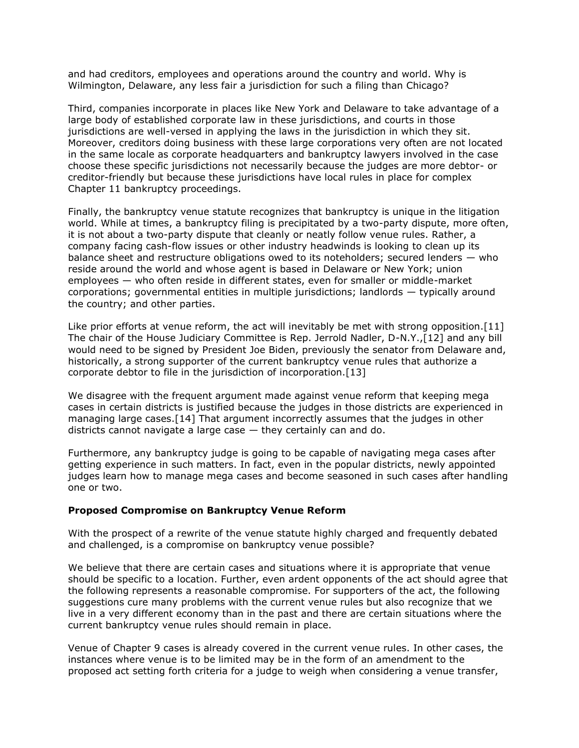and had creditors, employees and operations around the country and world. Why is Wilmington, Delaware, any less fair a jurisdiction for such a filing than Chicago?

Third, companies incorporate in places like New York and Delaware to take advantage of a large body of established corporate law in these jurisdictions, and courts in those jurisdictions are well-versed in applying the laws in the jurisdiction in which they sit. Moreover, creditors doing business with these large corporations very often are not located in the same locale as corporate headquarters and bankruptcy lawyers involved in the case choose these specific jurisdictions not necessarily because the judges are more debtor- or creditor-friendly but because these jurisdictions have local rules in place for complex Chapter 11 bankruptcy proceedings.

Finally, the bankruptcy venue statute recognizes that bankruptcy is unique in the litigation world. While at times, a bankruptcy filing is precipitated by a two-party dispute, more often, it is not about a two-party dispute that cleanly or neatly follow venue rules. Rather, a company facing cash-flow issues or other industry headwinds is looking to clean up its balance sheet and restructure obligations owed to its noteholders; secured lenders — who reside around the world and whose agent is based in Delaware or New York; union employees — who often reside in different states, even for smaller or middle-market corporations; governmental entities in multiple jurisdictions; landlords — typically around the country; and other parties.

Like prior efforts at venue reform, the act will inevitably be met with strong opposition.[11] The chair of the House Judiciary Committee is Rep. Jerrold Nadler, D-N.Y.,[12] and any bill would need to be signed by President Joe Biden, previously the senator from Delaware and, historically, a strong supporter of the current bankruptcy venue rules that authorize a corporate debtor to file in the jurisdiction of incorporation.[13]

We disagree with the frequent argument made against venue reform that keeping mega cases in certain districts is justified because the judges in those districts are experienced in managing large cases.[14] That argument incorrectly assumes that the judges in other districts cannot navigate a large case — they certainly can and do.

Furthermore, any bankruptcy judge is going to be capable of navigating mega cases after getting experience in such matters. In fact, even in the popular districts, newly appointed judges learn how to manage mega cases and become seasoned in such cases after handling one or two.

## **Proposed Compromise on Bankruptcy Venue Reform**

With the prospect of a rewrite of the venue statute highly charged and frequently debated and challenged, is a compromise on bankruptcy venue possible?

We believe that there are certain cases and situations where it is appropriate that venue should be specific to a location. Further, even ardent opponents of the act should agree that the following represents a reasonable compromise. For supporters of the act, the following suggestions cure many problems with the current venue rules but also recognize that we live in a very different economy than in the past and there are certain situations where the current bankruptcy venue rules should remain in place.

Venue of Chapter 9 cases is already covered in the current venue rules. In other cases, the instances where venue is to be limited may be in the form of an amendment to the proposed act setting forth criteria for a judge to weigh when considering a venue transfer,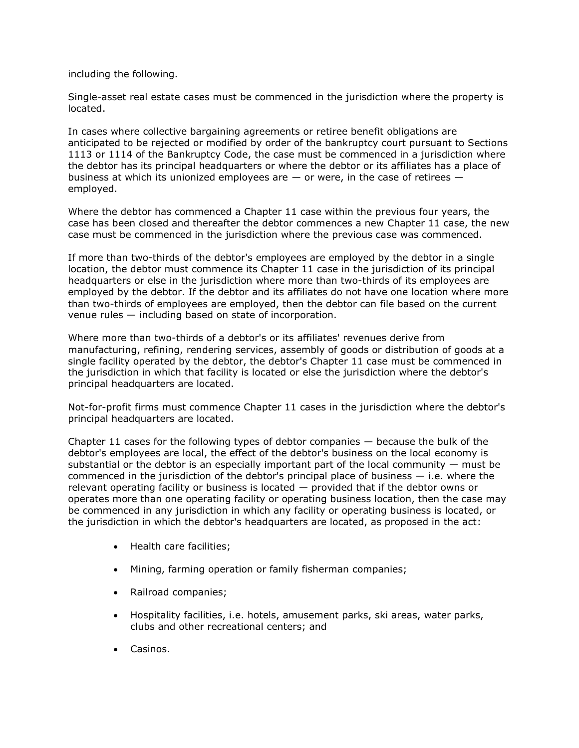including the following.

Single-asset real estate cases must be commenced in the jurisdiction where the property is located.

In cases where collective bargaining agreements or retiree benefit obligations are anticipated to be rejected or modified by order of the bankruptcy court pursuant to Sections 1113 or 1114 of the Bankruptcy Code, the case must be commenced in a jurisdiction where the debtor has its principal headquarters or where the debtor or its affiliates has a place of business at which its unionized employees are  $-$  or were, in the case of retirees  $$ employed.

Where the debtor has commenced a Chapter 11 case within the previous four years, the case has been closed and thereafter the debtor commences a new Chapter 11 case, the new case must be commenced in the jurisdiction where the previous case was commenced.

If more than two-thirds of the debtor's employees are employed by the debtor in a single location, the debtor must commence its Chapter 11 case in the jurisdiction of its principal headquarters or else in the jurisdiction where more than two-thirds of its employees are employed by the debtor. If the debtor and its affiliates do not have one location where more than two-thirds of employees are employed, then the debtor can file based on the current venue rules — including based on state of incorporation.

Where more than two-thirds of a debtor's or its affiliates' revenues derive from manufacturing, refining, rendering services, assembly of goods or distribution of goods at a single facility operated by the debtor, the debtor's Chapter 11 case must be commenced in the jurisdiction in which that facility is located or else the jurisdiction where the debtor's principal headquarters are located.

Not-for-profit firms must commence Chapter 11 cases in the jurisdiction where the debtor's principal headquarters are located.

Chapter 11 cases for the following types of debtor companies — because the bulk of the debtor's employees are local, the effect of the debtor's business on the local economy is substantial or the debtor is an especially important part of the local community  $-$  must be commenced in the jurisdiction of the debtor's principal place of business  $-$  i.e. where the relevant operating facility or business is located — provided that if the debtor owns or operates more than one operating facility or operating business location, then the case may be commenced in any jurisdiction in which any facility or operating business is located, or the jurisdiction in which the debtor's headquarters are located, as proposed in the act:

- Health care facilities;
- Mining, farming operation or family fisherman companies;
- Railroad companies;
- Hospitality facilities, i.e. hotels, amusement parks, ski areas, water parks, clubs and other recreational centers; and
- Casinos.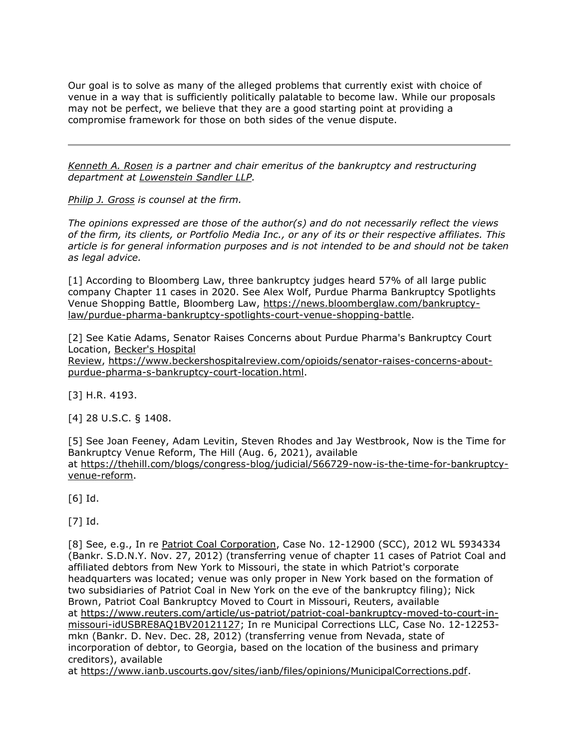Our goal is to solve as many of the alleged problems that currently exist with choice of venue in a way that is sufficiently politically palatable to become law. While our proposals may not be perfect, we believe that they are a good starting point at providing a compromise framework for those on both sides of the venue dispute.

*[Kenneth A. Rosen](https://www.lowenstein.com/people/attorneys/kenneth-rosen) is a partner and chair emeritus of the bankruptcy and restructuring department at [Lowenstein Sandler LLP.](https://www.law360.com/firms/lowenstein-sandler)*

*[Philip J. Gross](https://www.lowenstein.com/people/attorneys/philip-gross) is counsel at the firm.*

*The opinions expressed are those of the author(s) and do not necessarily reflect the views of the firm, its clients, or Portfolio Media Inc., or any of its or their respective affiliates. This article is for general information purposes and is not intended to be and should not be taken as legal advice.*

[1] According to Bloomberg Law, three bankruptcy judges heard 57% of all large public company Chapter 11 cases in 2020. See Alex Wolf, Purdue Pharma Bankruptcy Spotlights Venue Shopping Battle, Bloomberg Law, [https://news.bloomberglaw.com/bankruptcy](https://news.bloomberglaw.com/bankruptcy-law/purdue-pharma-bankruptcy-spotlights-court-venue-shopping-battle)[law/purdue-pharma-bankruptcy-spotlights-court-venue-shopping-battle.](https://news.bloomberglaw.com/bankruptcy-law/purdue-pharma-bankruptcy-spotlights-court-venue-shopping-battle)

[2] See Katie Adams, Senator Raises Concerns about Purdue Pharma's Bankruptcy Court Location, [Becker's Hospital](https://www.law360.com/companies/asc-communications)  [Review,](https://www.law360.com/companies/asc-communications) [https://www.beckershospitalreview.com/opioids/senator-raises-concerns-about](https://www.beckershospitalreview.com/opioids/senator-raises-concerns-about-purdue-pharma-s-bankruptcy-court-location.html)[purdue-pharma-s-bankruptcy-court-location.html.](https://www.beckershospitalreview.com/opioids/senator-raises-concerns-about-purdue-pharma-s-bankruptcy-court-location.html)

[3] H.R. 4193.

[4] 28 U.S.C. § 1408.

[5] See Joan Feeney, Adam Levitin, Steven Rhodes and Jay Westbrook, Now is the Time for Bankruptcy Venue Reform, The Hill (Aug. 6, 2021), available at [https://thehill.com/blogs/congress-blog/judicial/566729-now-is-the-time-for-bankruptcy](https://thehill.com/blogs/congress-blog/judicial/566729-now-is-the-time-for-bankruptcy-venue-reform)[venue-reform.](https://thehill.com/blogs/congress-blog/judicial/566729-now-is-the-time-for-bankruptcy-venue-reform)

[6] Id.

[7] Id.

[8] See, e.g., In re [Patriot Coal Corporation,](https://www.law360.com/companies/patriot-coal-corp) Case No. 12-12900 (SCC), 2012 WL 5934334 (Bankr. S.D.N.Y. Nov. 27, 2012) (transferring venue of chapter 11 cases of Patriot Coal and affiliated debtors from New York to Missouri, the state in which Patriot's corporate headquarters was located; venue was only proper in New York based on the formation of two subsidiaries of Patriot Coal in New York on the eve of the bankruptcy filing); Nick Brown, Patriot Coal Bankruptcy Moved to Court in Missouri, Reuters, available at [https://www.reuters.com/article/us-patriot/patriot-coal-bankruptcy-moved-to-court-in](https://www.reuters.com/article/us-patriot/patriot-coal-bankruptcy-moved-to-court-in-missouri-idUSBRE8AQ1BV20121127)[missouri-idUSBRE8AQ1BV20121127;](https://www.reuters.com/article/us-patriot/patriot-coal-bankruptcy-moved-to-court-in-missouri-idUSBRE8AQ1BV20121127) In re Municipal Corrections LLC, Case No. 12-12253 mkn (Bankr. D. Nev. Dec. 28, 2012) (transferring venue from Nevada, state of incorporation of debtor, to Georgia, based on the location of the business and primary creditors), available

at [https://www.ianb.uscourts.gov/sites/ianb/files/opinions/MunicipalCorrections.pdf.](https://www.ianb.uscourts.gov/sites/ianb/files/opinions/MunicipalCorrections.pdf)